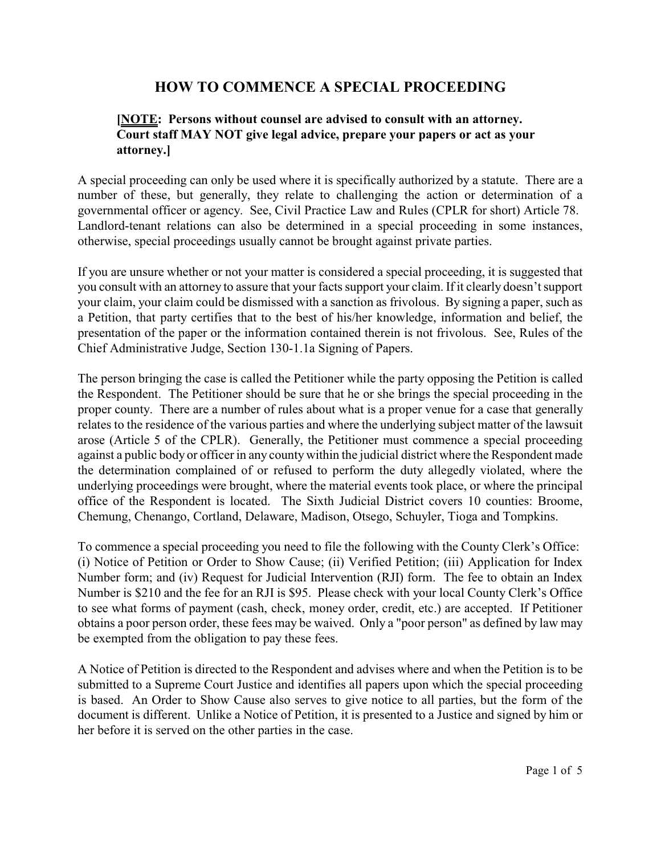# **HOW TO COMMENCE A SPECIAL PROCEEDING**

### **[NOTE: Persons without counsel are advised to consult with an attorney. Court staff MAY NOT give legal advice, prepare your papers or act as your attorney.]**

A special proceeding can only be used where it is specifically authorized by a statute. There are a number of these, but generally, they relate to challenging the action or determination of a governmental officer or agency. See, Civil Practice Law and Rules (CPLR for short) Article 78. Landlord-tenant relations can also be determined in a special proceeding in some instances, otherwise, special proceedings usually cannot be brought against private parties.

If you are unsure whether or not your matter is considered a special proceeding, it is suggested that you consult with an attorney to assure that your facts support your claim. If it clearly doesn't support your claim, your claim could be dismissed with a sanction as frivolous. By signing a paper, such as a Petition, that party certifies that to the best of his/her knowledge, information and belief, the presentation of the paper or the information contained therein is not frivolous. See, Rules of the Chief Administrative Judge, Section 130-1.1a Signing of Papers.

The person bringing the case is called the Petitioner while the party opposing the Petition is called the Respondent. The Petitioner should be sure that he or she brings the special proceeding in the proper county. There are a number of rules about what is a proper venue for a case that generally relates to the residence of the various parties and where the underlying subject matter of the lawsuit arose (Article 5 of the CPLR). Generally, the Petitioner must commence a special proceeding against a public body or officer in any county within the judicial district where the Respondent made the determination complained of or refused to perform the duty allegedly violated, where the underlying proceedings were brought, where the material events took place, or where the principal office of the Respondent is located. The Sixth Judicial District covers 10 counties: Broome, Chemung, Chenango, Cortland, Delaware, Madison, Otsego, Schuyler, Tioga and Tompkins.

To commence a special proceeding you need to file the following with the County Clerk's Office: (i) Notice of Petition or Order to Show Cause; (ii) Verified Petition; (iii) Application for Index Number form; and (iv) Request for Judicial Intervention (RJI) form. The fee to obtain an Index Number is \$210 and the fee for an RJI is \$95. Please check with your local County Clerk's Office to see what forms of payment (cash, check, money order, credit, etc.) are accepted. If Petitioner obtains a poor person order, these fees may be waived. Only a "poor person" as defined by law may be exempted from the obligation to pay these fees.

A Notice of Petition is directed to the Respondent and advises where and when the Petition is to be submitted to a Supreme Court Justice and identifies all papers upon which the special proceeding is based. An Order to Show Cause also serves to give notice to all parties, but the form of the document is different. Unlike a Notice of Petition, it is presented to a Justice and signed by him or her before it is served on the other parties in the case.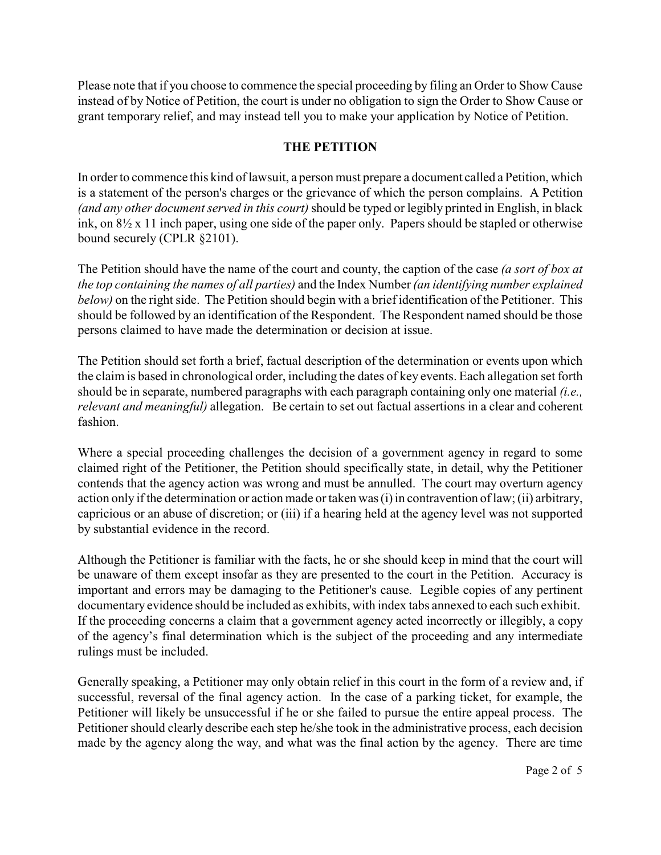Please note that if you choose to commence the special proceeding by filing an Order to Show Cause instead of by Notice of Petition, the court is under no obligation to sign the Order to Show Cause or grant temporary relief, and may instead tell you to make your application by Notice of Petition.

### **THE PETITION**

In order to commence this kind of lawsuit, a person must prepare a document called a Petition, which is a statement of the person's charges or the grievance of which the person complains. A Petition *(and any other document served in this court)*should be typed or legibly printed in English, in black ink, on 8½ x 11 inch paper, using one side of the paper only. Papers should be stapled or otherwise bound securely (CPLR §2101).

The Petition should have the name of the court and county, the caption of the case *(a sort of box at the top containing the names of all parties)* and the Index Number *(an identifying number explained below)* on the right side. The Petition should begin with a brief identification of the Petitioner. This should be followed by an identification of the Respondent. The Respondent named should be those persons claimed to have made the determination or decision at issue.

The Petition should set forth a brief, factual description of the determination or events upon which the claim is based in chronological order, including the dates of key events. Each allegation set forth should be in separate, numbered paragraphs with each paragraph containing only one material *(i.e., relevant and meaningful)* allegation. Be certain to set out factual assertions in a clear and coherent fashion.

Where a special proceeding challenges the decision of a government agency in regard to some claimed right of the Petitioner, the Petition should specifically state, in detail, why the Petitioner contends that the agency action was wrong and must be annulled. The court may overturn agency action only if the determination or action made or taken was (i) in contravention of law; (ii) arbitrary, capricious or an abuse of discretion; or (iii) if a hearing held at the agency level was not supported by substantial evidence in the record.

Although the Petitioner is familiar with the facts, he or she should keep in mind that the court will be unaware of them except insofar as they are presented to the court in the Petition. Accuracy is important and errors may be damaging to the Petitioner's cause. Legible copies of any pertinent documentary evidence should be included as exhibits, with index tabs annexed to each such exhibit. If the proceeding concerns a claim that a government agency acted incorrectly or illegibly, a copy of the agency's final determination which is the subject of the proceeding and any intermediate rulings must be included.

Generally speaking, a Petitioner may only obtain relief in this court in the form of a review and, if successful, reversal of the final agency action. In the case of a parking ticket, for example, the Petitioner will likely be unsuccessful if he or she failed to pursue the entire appeal process. The Petitioner should clearly describe each step he/she took in the administrative process, each decision made by the agency along the way, and what was the final action by the agency. There are time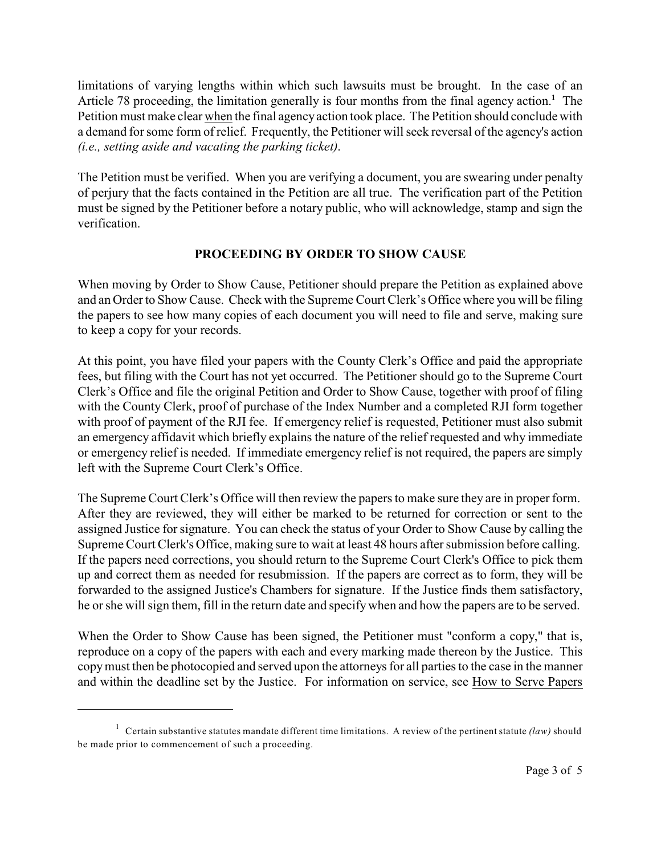limitations of varying lengths within which such lawsuits must be brought. In the case of an Article 78 proceeding, the limitation generally is four months from the final agency action.<sup>1</sup> The Petition must make clear when the final agencyaction took place. The Petition should conclude with a demand for some form of relief. Frequently, the Petitioner will seek reversal of the agency's action *(i.e., setting aside and vacating the parking ticket)*.

The Petition must be verified. When you are verifying a document, you are swearing under penalty of perjury that the facts contained in the Petition are all true. The verification part of the Petition must be signed by the Petitioner before a notary public, who will acknowledge, stamp and sign the verification.

#### **PROCEEDING BY ORDER TO SHOW CAUSE**

When moving by Order to Show Cause, Petitioner should prepare the Petition as explained above and an Order to Show Cause. Check with the Supreme Court Clerk's Office where you will be filing the papers to see how many copies of each document you will need to file and serve, making sure to keep a copy for your records.

At this point, you have filed your papers with the County Clerk's Office and paid the appropriate fees, but filing with the Court has not yet occurred. The Petitioner should go to the Supreme Court Clerk's Office and file the original Petition and Order to Show Cause, together with proof of filing with the County Clerk, proof of purchase of the Index Number and a completed RJI form together with proof of payment of the RJI fee. If emergency relief is requested, Petitioner must also submit an emergency affidavit which briefly explains the nature of the relief requested and why immediate or emergency relief is needed. If immediate emergency relief is not required, the papers are simply left with the Supreme Court Clerk's Office.

The Supreme Court Clerk's Office will then review the papers to make sure they are in proper form. After they are reviewed, they will either be marked to be returned for correction or sent to the assigned Justice for signature. You can check the status of your Order to Show Cause by calling the Supreme Court Clerk's Office, making sure to wait at least 48 hours after submission before calling. If the papers need corrections, you should return to the Supreme Court Clerk's Office to pick them up and correct them as needed for resubmission. If the papers are correct as to form, they will be forwarded to the assigned Justice's Chambers for signature. If the Justice finds them satisfactory, he or she will sign them, fill in the return date and specifywhen and how the papers are to be served.

When the Order to Show Cause has been signed, the Petitioner must "conform a copy," that is, reproduce on a copy of the papers with each and every marking made thereon by the Justice. This copymust then be photocopied and served upon the attorneys for all parties to the case in the manner and within the deadline set by the Justice. For information on service, see How to Serve Papers

<sup>&</sup>lt;sup>1</sup> Certain substantive statutes mandate different time limitations. A review of the pertinent statute *(law)* should be made prior to commencement of such a proceeding.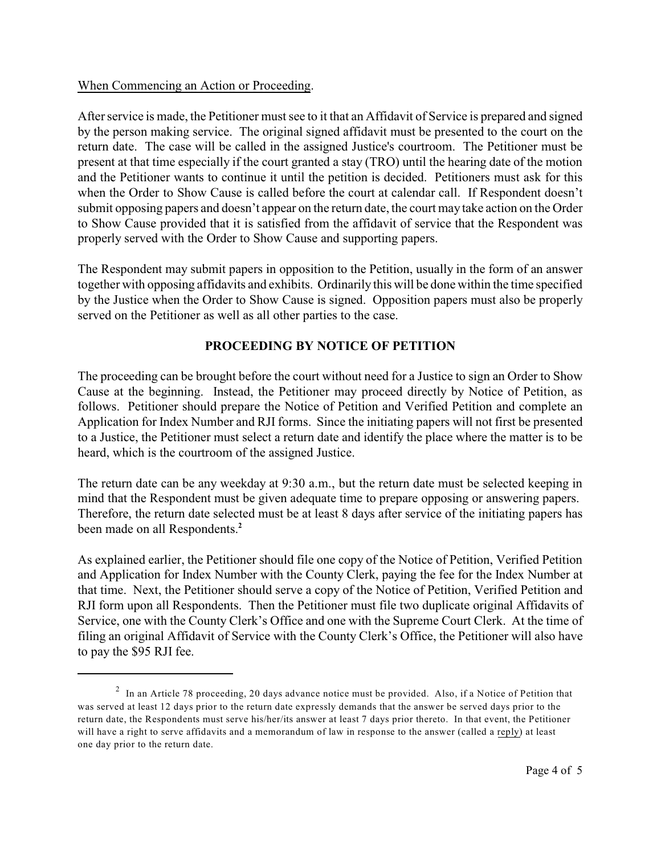#### When Commencing an Action or Proceeding.

After service is made, the Petitioner must see to it that an Affidavit of Service is prepared and signed by the person making service. The original signed affidavit must be presented to the court on the return date. The case will be called in the assigned Justice's courtroom. The Petitioner must be present at that time especially if the court granted a stay (TRO) until the hearing date of the motion and the Petitioner wants to continue it until the petition is decided. Petitioners must ask for this when the Order to Show Cause is called before the court at calendar call. If Respondent doesn't submit opposing papers and doesn't appear on the return date, the court may take action on the Order to Show Cause provided that it is satisfied from the affidavit of service that the Respondent was properly served with the Order to Show Cause and supporting papers.

The Respondent may submit papers in opposition to the Petition, usually in the form of an answer together with opposing affidavits and exhibits. Ordinarily this will be done within the time specified by the Justice when the Order to Show Cause is signed. Opposition papers must also be properly served on the Petitioner as well as all other parties to the case.

## **PROCEEDING BY NOTICE OF PETITION**

The proceeding can be brought before the court without need for a Justice to sign an Order to Show Cause at the beginning. Instead, the Petitioner may proceed directly by Notice of Petition, as follows. Petitioner should prepare the Notice of Petition and Verified Petition and complete an Application for Index Number and RJI forms. Since the initiating papers will not first be presented to a Justice, the Petitioner must select a return date and identify the place where the matter is to be heard, which is the courtroom of the assigned Justice.

The return date can be any weekday at 9:30 a.m., but the return date must be selected keeping in mind that the Respondent must be given adequate time to prepare opposing or answering papers. Therefore, the return date selected must be at least 8 days after service of the initiating papers has been made on all Respondents.**<sup>2</sup>**

As explained earlier, the Petitioner should file one copy of the Notice of Petition, Verified Petition and Application for Index Number with the County Clerk, paying the fee for the Index Number at that time. Next, the Petitioner should serve a copy of the Notice of Petition, Verified Petition and RJI form upon all Respondents. Then the Petitioner must file two duplicate original Affidavits of Service, one with the County Clerk's Office and one with the Supreme Court Clerk. At the time of filing an original Affidavit of Service with the County Clerk's Office, the Petitioner will also have to pay the \$95 RJI fee.

 $2$  In an Article 78 proceeding, 20 days advance notice must be provided. Also, if a Notice of Petition that was served at least 12 days prior to the return date expressly demands that the answer be served days prior to the return date, the Respondents must serve his/her/its answer at least 7 days prior thereto. In that event, the Petitioner will have a right to serve affidavits and a memorandum of law in response to the answer (called a reply) at least one day prior to the return date.